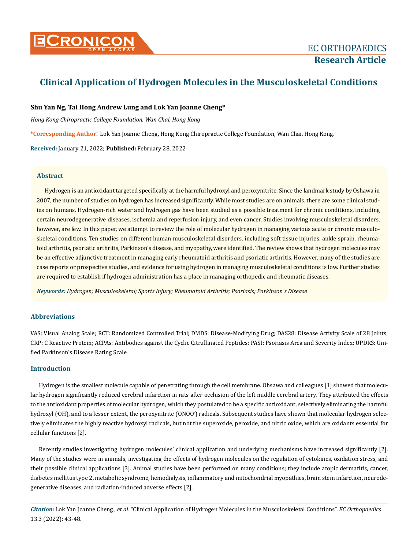

# **Clinical Application of Hydrogen Molecules in the Musculoskeletal Conditions**

# **Shu Yan Ng, Tai Hong Andrew Lung and Lok Yan Joanne Cheng\***

*Hong Kong Chiropractic College Foundation, Wan Chai, Hong Kong* 

**\*Corresponding Author**: Lok Yan Joanne Cheng, Hong Kong Chiropractic College Foundation, Wan Chai, Hong Kong.

**Received:** January 21, 2022; **Published:** February 28, 2022

# **Abstract**

Hydrogen is an antioxidant targeted specifically at the harmful hydroxyl and peroxynitrite. Since the landmark study by Oshawa in 2007, the number of studies on hydrogen has increased significantly. While most studies are on animals, there are some clinical studies on humans. Hydrogen-rich water and hydrogen gas have been studied as a possible treatment for chronic conditions, including certain neurodegenerative diseases, ischemia and reperfusion injury, and even cancer. Studies involving musculoskeletal disorders, however, are few. In this paper, we attempt to review the role of molecular hydrogen in managing various acute or chronic musculoskeletal conditions. Ten studies on different human musculoskeletal disorders, including soft tissue injuries, ankle sprain, rheumatoid arthritis, psoriatic arthritis, Parkinson's disease, and myopathy, were identified. The review shows that hydrogen molecules may be an effective adjunctive treatment in managing early rheumatoid arthritis and psoriatic arthritis. However, many of the studies are case reports or prospective studies, and evidence for using hydrogen in managing musculoskeletal conditions is low. Further studies are required to establish if hydrogen administration has a place in managing orthopedic and rheumatic diseases.

*Keywords: Hydrogen; Musculoskeletal; Sports Injury; Rheumatoid Arthritis; Psoriasis; Parkinson's Disease*

# **Abbreviations**

VAS: Visual Analog Scale; RCT: Randomized Controlled Trial; DMDS: Disease-Modifying Drug; DAS28: Disease Activity Scale of 28 Joints; CRP: C Reactive Protein; ACPAs: Antibodies against the Cyclic Citrullinated Peptides; PASI: Psoriasis Area and Severity Index; UPDRS: Unified Parkinson's Disease Rating Scale

# **Introduction**

Hydrogen is the smallest molecule capable of penetrating through the cell membrane. Ohsawa and colleagues [1] showed that molecular hydrogen significantly reduced cerebral infarction in rats after occlusion of the left middle cerebral artery. They attributed the effects to the antioxidant properties of molecular hydrogen, which they postulated to be a specific antioxidant, selectively eliminating the harmful hydroxyl (·OH), and to a lesser extent, the peroxynitrite (ONOO<sup>-</sup>) radicals. Subsequent studies have shown that molecular hydrogen selectively eliminates the highly reactive hydroxyl radicals, but not the superoxide, peroxide, and nitric oxide, which are oxidants essential for cellular functions [2].

Recently studies investigating hydrogen molecules' clinical application and underlying mechanisms have increased significantly [2]. Many of the studies were in animals, investigating the effects of hydrogen molecules on the regulation of cytokines, oxidation stress, and their possible clinical applications [3]. Animal studies have been performed on many conditions; they include atopic dermatitis, cancer, diabetes mellitus type 2, metabolic syndrome, hemodialysis, inflammatory and mitochondrial myopathies, brain stem infarction, neurodegenerative diseases, and radiation-induced adverse effects [2].

*Citation:* Lok Yan Joanne Cheng., *et al*. "Clinical Application of Hydrogen Molecules in the Musculoskeletal Conditions". *EC Orthopaedics*  13.3 (2022): 43-48.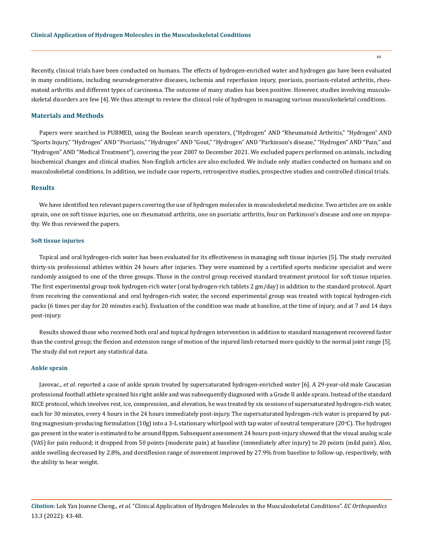Recently, clinical trials have been conducted on humans. The effects of hydrogen-enriched water and hydrogen gas have been evaluated in many conditions, including neurodegenerative diseases, ischemia and reperfusion injury, psoriasis, psoriasis-related arthritis, rheumatoid arthritis and different types of carcinoma. The outcome of many studies has been positive. However, studies involving musculoskeletal disorders are few [4]. We thus attempt to review the clinical role of hydrogen in managing various musculoskeletal conditions.

### **Materials and Methods**

Papers were searched in PUBMED, using the Boolean search operators, ("Hydrogen" AND "Rheumatoid Arthritis," "Hydrogen" AND "Sports Injury," "Hydrogen" AND "Psoriasis," "Hydrogen" AND "Gout," "Hydrogen" AND "Parkinson's disease," "Hydrogen" AND "Pain," and "Hydrogen" AND "Medical Treatment"), covering the year 2007 to December 2021. We excluded papers performed on animals, including biochemical changes and clinical studies. Non-English articles are also excluded. We include only studies conducted on humans and on musculoskeletal conditions. In addition, we include case reports, retrospective studies, prospective studies and controlled clinical trials.

### **Results**

We have identified ten relevant papers covering the use of hydrogen molecules in musculoskeletal medicine. Two articles are on ankle sprain, one on soft tissue injuries, one on rheumatoid arthritis, one on psoriatic arthritis, four on Parkinson's disease and one on myopathy. We thus reviewed the papers.

#### **Soft tissue injuries**

Topical and oral hydrogen-rich water has been evaluated for its effectiveness in managing soft tissue injuries [5]. The study recruited thirty-six professional athletes within 24 hours after injuries. They were examined by a certified sports medicine specialist and were randomly assigned to one of the three groups. Those in the control group received standard treatment protocol for soft tissue injuries. The first experimental group took hydrogen-rich water (oral hydrogen-rich tablets 2 gm/day) in addition to the standard protocol. Apart from receiving the conventional and oral hydrogen-rich water, the second experimental group was treated with topical hydrogen-rich packs (6 times per day for 20 minutes each). Evaluation of the condition was made at baseline, at the time of injury, and at 7 and 14 days post-injury.

Results showed those who received both oral and topical hydrogen intervention in addition to standard management recovered faster than the control group; the flexion and extension range of motion of the injured limb returned more quickly to the normal joint range [5]. The study did not report any statistical data.

### **Ankle sprain**

Javovac., *et al*. reported a case of ankle sprain treated by supersaturated hydrogen-enriched water [6]. A 29-year-old male Caucasian professional football athlete sprained his right ankle and was subsequently diagnosed with a Grade II ankle sprain. Instead of the standard RICE protocol, which involves rest, ice, compression, and elevation, he was treated by six sessions of supersaturated hydrogen-rich water, each for 30 minutes, every 4 hours in the 24 hours immediately post-injury. The supersaturated hydrogen-rich water is prepared by putting magnesium-producing formulation (10g) into a 3-L stationary whirlpool with tap water of neutral temperature (20°C). The hydrogen gas present in the water is estimated to be around 8ppm. Subsequent assessment 24 hours post-injury showed that the visual analog scale (VAS) for pain reduced; it dropped from 50 points (moderate pain) at baseline (immediately after injury) to 20 points (mild pain). Also, ankle swelling decreased by 2.8%, and dorsiflexion range of movement improved by 27.9% from baseline to follow-up, respectively, with the ability to bear weight.

*Citation:* Lok Yan Joanne Cheng., *et al*. "Clinical Application of Hydrogen Molecules in the Musculoskeletal Conditions". *EC Orthopaedics*  13.3 (2022): 43-48.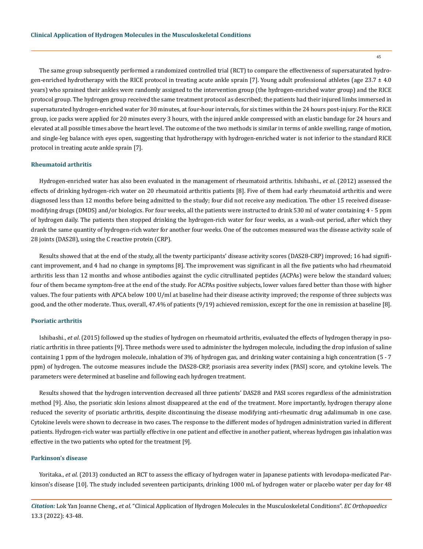The same group subsequently performed a randomized controlled trial (RCT) to compare the effectiveness of supersaturated hydrogen-enriched hydrotherapy with the RICE protocol in treating acute ankle sprain [7]. Young adult professional athletes (age  $23.7 \pm 4.0$ ) years) who sprained their ankles were randomly assigned to the intervention group (the hydrogen-enriched water group) and the RICE protocol group. The hydrogen group received the same treatment protocol as described; the patients had their injured limbs immersed in supersaturated hydrogen-enriched water for 30 minutes, at four-hour intervals, for six times within the 24 hours post-injury. For the RICE group, ice packs were applied for 20 minutes every 3 hours, with the injured ankle compressed with an elastic bandage for 24 hours and elevated at all possible times above the heart level. The outcome of the two methods is similar in terms of ankle swelling, range of motion, and single-leg balance with eyes open, suggesting that hydrotherapy with hydrogen-enriched water is not inferior to the standard RICE protocol in treating acute ankle sprain [7].

#### **Rheumatoid arthritis**

Hydrogen-enriched water has also been evaluated in the management of rheumatoid arthritis. Ishibashi., *et al*. (2012) assessed the effects of drinking hydrogen-rich water on 20 rheumatoid arthritis patients [8]. Five of them had early rheumatoid arthritis and were diagnosed less than 12 months before being admitted to the study; four did not receive any medication. The other 15 received diseasemodifying drugs (DMDS) and/or biologics. For four weeks, all the patients were instructed to drink 530 ml of water containing 4 - 5 ppm of hydrogen daily. The patients then stopped drinking the hydrogen-rich water for four weeks, as a wash-out period, after which they drank the same quantity of hydrogen-rich water for another four weeks. One of the outcomes measured was the disease activity scale of 28 joints (DAS28), using the C reactive protein (CRP).

Results showed that at the end of the study, all the twenty participants' disease activity scores (DAS28-CRP) improved; 16 had significant improvement, and 4 had no change in symptoms [8]. The improvement was significant in all the five patients who had rheumatoid arthritis less than 12 months and whose antibodies against the cyclic citrullinated peptides (ACPAs) were below the standard values; four of them became symptom-free at the end of the study. For ACPAs positive subjects, lower values fared better than those with higher values. The four patients with APCA below 100 U/ml at baseline had their disease activity improved; the response of three subjects was good, and the other moderate. Thus, overall, 47.4% of patients (9/19) achieved remission, except for the one in remission at baseline [8].

### **Psoriatic arthritis**

Ishibashi., *et al*. (2015) followed up the studies of hydrogen on rheumatoid arthritis, evaluated the effects of hydrogen therapy in psoriatic arthritis in three patients [9]. Three methods were used to administer the hydrogen molecule, including the drop infusion of saline containing 1 ppm of the hydrogen molecule, inhalation of 3% of hydrogen gas, and drinking water containing a high concentration (5 - 7 ppm) of hydrogen. The outcome measures include the DAS28-CRP, psoriasis area severity index (PASI) score, and cytokine levels. The parameters were determined at baseline and following each hydrogen treatment.

Results showed that the hydrogen intervention decreased all three patients' DAS28 and PASI scores regardless of the administration method [9]. Also, the psoriatic skin lesions almost disappeared at the end of the treatment. More importantly, hydrogen therapy alone reduced the severity of psoriatic arthritis, despite discontinuing the disease modifying anti-rheumatic drug adalimumab in one case. Cytokine levels were shown to decrease in two cases. The response to the different modes of hydrogen administration varied in different patients. Hydrogen-rich water was partially effective in one patient and effective in another patient, whereas hydrogen gas inhalation was effective in the two patients who opted for the treatment [9].

### **Parkinson's disease**

Yoritaka., *et al*. (2013) conducted an RCT to assess the efficacy of hydrogen water in Japanese patients with levodopa-medicated Parkinson's disease [10]. The study included seventeen participants, drinking 1000 mL of hydrogen water or placebo water per day for 48

*Citation:* Lok Yan Joanne Cheng., *et al*. "Clinical Application of Hydrogen Molecules in the Musculoskeletal Conditions". *EC Orthopaedics*  13.3 (2022): 43-48.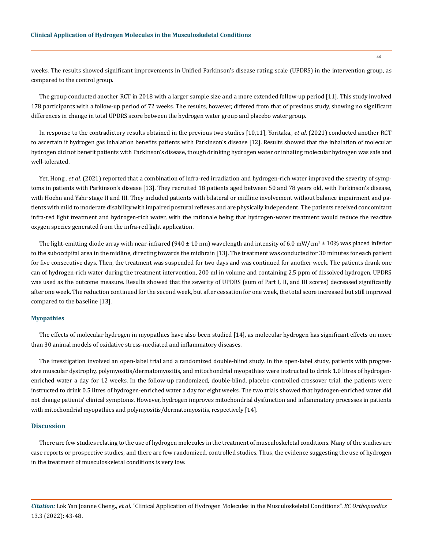weeks. The results showed significant improvements in Unified Parkinson's disease rating scale (UPDRS) in the intervention group, as compared to the control group.

The group conducted another RCT in 2018 with a larger sample size and a more extended follow-up period [11]. This study involved 178 participants with a follow-up period of 72 weeks. The results, however, differed from that of previous study, showing no significant differences in change in total UPDRS score between the hydrogen water group and placebo water group.

In response to the contradictory results obtained in the previous two studies [10,11], Yoritaka., *et al*. (2021) conducted another RCT to ascertain if hydrogen gas inhalation benefits patients with Parkinson's disease [12]. Results showed that the inhalation of molecular hydrogen did not benefit patients with Parkinson's disease, though drinking hydrogen water or inhaling molecular hydrogen was safe and well-tolerated.

Yet, Hong., *et al.* (2021) reported that a combination of infra-red irradiation and hydrogen-rich water improved the severity of symptoms in patients with Parkinson's disease [13]. They recruited 18 patients aged between 50 and 78 years old, with Parkinson's disease, with Hoehn and Yahr stage II and III. They included patients with bilateral or midline involvement without balance impairment and patients with mild to moderate disability with impaired postural reflexes and are physically independent. The patients received concomitant infra-red light treatment and hydrogen-rich water, with the rationale being that hydrogen-water treatment would reduce the reactive oxygen species generated from the infra-red light application.

The light-emitting diode array with near-infrared (940  $\pm$  10 nm) wavelength and intensity of 6.0 mW/cm<sup>2</sup>  $\pm$  10% was placed inferior to the suboccipital area in the midline, directing towards the midbrain [13]. The treatment was conducted for 30 minutes for each patient for five consecutive days. Then, the treatment was suspended for two days and was continued for another week. The patients drank one can of hydrogen-rich water during the treatment intervention, 200 ml in volume and containing 2.5 ppm of dissolved hydrogen. UPDRS was used as the outcome measure. Results showed that the severity of UPDRS (sum of Part I, II, and III scores) decreased significantly after one week. The reduction continued for the second week, but after cessation for one week, the total score increased but still improved compared to the baseline [13].

### **Myopathies**

The effects of molecular hydrogen in myopathies have also been studied [14], as molecular hydrogen has significant effects on more than 30 animal models of oxidative stress-mediated and inflammatory diseases.

The investigation involved an open-label trial and a randomized double-blind study. In the open-label study, patients with progressive muscular dystrophy, polymyositis/dermatomyositis, and mitochondrial myopathies were instructed to drink 1.0 litres of hydrogenenriched water a day for 12 weeks. In the follow-up randomized, double-blind, placebo-controlled crossover trial, the patients were instructed to drink 0.5 litres of hydrogen-enriched water a day for eight weeks. The two trials showed that hydrogen-enriched water did not change patients' clinical symptoms. However, hydrogen improves mitochondrial dysfunction and inflammatory processes in patients with mitochondrial myopathies and polymyositis/dermatomyositis, respectively [14].

### **Discussion**

There are few studies relating to the use of hydrogen molecules in the treatment of musculoskeletal conditions. Many of the studies are case reports or prospective studies, and there are few randomized, controlled studies. Thus, the evidence suggesting the use of hydrogen in the treatment of musculoskeletal conditions is very low.

*Citation:* Lok Yan Joanne Cheng., *et al*. "Clinical Application of Hydrogen Molecules in the Musculoskeletal Conditions". *EC Orthopaedics*  13.3 (2022): 43-48.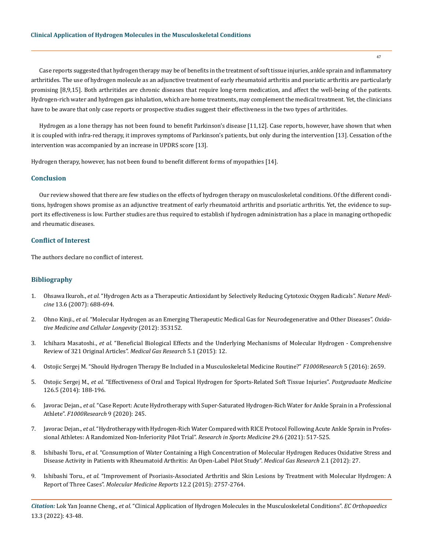Case reports suggested that hydrogen therapy may be of benefits in the treatment of soft tissue injuries, ankle sprain and inflammatory arthritides. The use of hydrogen molecule as an adjunctive treatment of early rheumatoid arthritis and psoriatic arthritis are particularly promising [8,9,15]. Both arthritides are chronic diseases that require long-term medication, and affect the well-being of the patients. Hydrogen-rich water and hydrogen gas inhalation, which are home treatments, may complement the medical treatment. Yet, the clinicians have to be aware that only case reports or prospective studies suggest their effectiveness in the two types of arthritides.

Hydrogen as a lone therapy has not been found to benefit Parkinson's disease [11,12]. Case reports, however, have shown that when it is coupled with infra-red therapy, it improves symptoms of Parkinson's patients, but only during the intervention [13]. Cessation of the intervention was accompanied by an increase in UPDRS score [13].

Hydrogen therapy, however, has not been found to benefit different forms of myopathies [14].

# **Conclusion**

Our review showed that there are few studies on the effects of hydrogen therapy on musculoskeletal conditions. Of the different conditions, hydrogen shows promise as an adjunctive treatment of early rheumatoid arthritis and psoriatic arthritis. Yet, the evidence to support its effectiveness is low. Further studies are thus required to establish if hydrogen administration has a place in managing orthopedic and rheumatic diseases.

# **Conflict of Interest**

The authors declare no conflict of interest.

# **Bibliography**

- 1. Ohsawa Ikuroh., *et al*[. "Hydrogen Acts as a Therapeutic Antioxidant by Selectively Reducing Cytotoxic Oxygen Radicals".](https://doi.org/10.1038/NM1577) *Nature Medicine* [13.6 \(2007\): 688-694.](https://doi.org/10.1038/NM1577)
- 2. Ohno Kinji., *et al*[. "Molecular Hydrogen as an Emerging Therapeutic Medical Gas for Neurodegenerative and Other Diseases".](https://doi.org/10.1155/2012/353152) *Oxida[tive Medicine and Cellular Longevity](https://doi.org/10.1155/2012/353152)* (2012): 353152.
- 3. Ichihara Masatoshi., *et al*[. "Beneficial Biological Effects and the Underlying Mechanisms of Molecular Hydrogen Comprehensive](https://pubmed.ncbi.nlm.nih.gov/26483953/)  [Review of 321 Original Articles".](https://pubmed.ncbi.nlm.nih.gov/26483953/) *Medical Gas Research* 5.1 (2015): 12.
- 4. [Ostojic Sergej M. "Should Hydrogen Therapy Be Included in a Musculoskeletal Medicine Routine?"](https://pubmed.ncbi.nlm.nih.gov/28003879/) *F1000Research* 5 (2016): 2659.
- 5. Ostojic Sergej M., *et al*[. "Effectiveness of Oral and Topical Hydrogen for Sports-Related Soft Tissue Injuries".](https://doi.org/10.3810/PGM.2014.09.2813) *Postgraduate Medicine* [126.5 \(2014\): 188-196.](https://doi.org/10.3810/PGM.2014.09.2813)
- 6. Javorac Dejan., *et al*[. "Case Report: Acute Hydrotherapy with Super-Saturated Hydrogen-Rich Water for Ankle Sprain in a Professional](https://www.ncbi.nlm.nih.gov/pmc/articles/PMC7194471/)  Athlete". *[F1000Research](https://www.ncbi.nlm.nih.gov/pmc/articles/PMC7194471/)* 9 (2020): 245.
- 7. Javorac Dejan., *et al*[. "Hydrotherapy with Hydrogen-Rich Water Compared with RICE Protocol Following Acute Ankle Sprain in Profes](https://doi.org/10.1080/15438627.2020.1868468)[sional Athletes: A Randomized Non-Inferiority Pilot Trial".](https://doi.org/10.1080/15438627.2020.1868468) *Research in Sports Medicine* 29.6 (2021): 517-525.
- 8. Ishibashi Toru., *et al*[. "Consumption of Water Containing a High Concentration of Molecular Hydrogen Reduces Oxidative Stress and](https://doi.org/10.1186/2045-9912-2-27)  [Disease Activity in Patients with Rheumatoid Arthritis: An Open-Label Pilot Study".](https://doi.org/10.1186/2045-9912-2-27) *Medical Gas Research* 2.1 (2012): 27.
- 9. Ishibashi Toru., *et al*[. "Improvement of Psoriasis-Associated Arthritis and Skin Lesions by Treatment with Molecular Hydrogen: A](https://doi.org/10.3892/MMR.2015.3707)  Report of Three Cases". *[Molecular Medicine Reports](https://doi.org/10.3892/MMR.2015.3707)* 12.2 (2015): 2757-2764.

*Citation:* Lok Yan Joanne Cheng., *et al*. "Clinical Application of Hydrogen Molecules in the Musculoskeletal Conditions". *EC Orthopaedics*  13.3 (2022): 43-48.